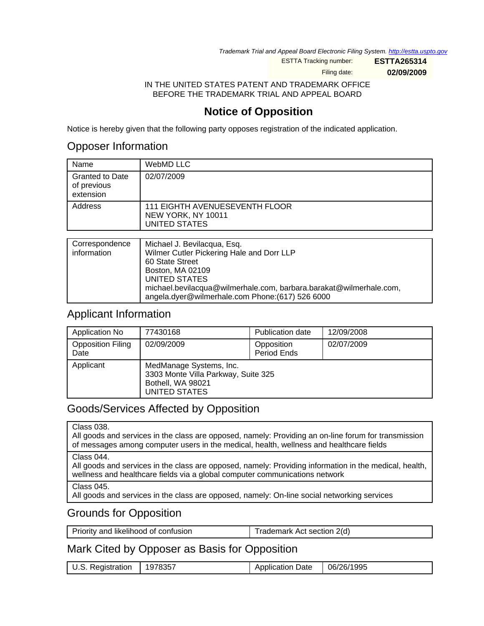Trademark Trial and Appeal Board Electronic Filing System. <http://estta.uspto.gov>

ESTTA Tracking number: **ESTTA265314**

Filing date: **02/09/2009**

IN THE UNITED STATES PATENT AND TRADEMARK OFFICE BEFORE THE TRADEMARK TRIAL AND APPEAL BOARD

## **Notice of Opposition**

Notice is hereby given that the following party opposes registration of the indicated application.

### Opposer Information

| Name                                               | WebMD LLC                                                             |
|----------------------------------------------------|-----------------------------------------------------------------------|
| <b>Granted to Date</b><br>of previous<br>extension | 02/07/2009                                                            |
| Address                                            | 111 EIGHTH AVENUESEVENTH FLOOR<br>NEW YORK, NY 10011<br>UNITED STATES |
|                                                    |                                                                       |
| Correspondence                                     | Michael J. Bevilacqua, Esq.                                           |

| <b>OUITESPUTIUGITUG</b> | TVIIUTAEI J. DEVIIAUGUA, LSU.                                      |
|-------------------------|--------------------------------------------------------------------|
| information             | Wilmer Cutler Pickering Hale and Dorr LLP                          |
|                         | 60 State Street                                                    |
|                         | Boston, MA 02109                                                   |
|                         | UNITED STATES                                                      |
|                         | michael.bevilacqua@wilmerhale.com, barbara.barakat@wilmerhale.com, |
|                         | angela.dyer@wilmerhale.com Phone:(617) 526 6000                    |

#### Applicant Information

| Application No                   | 77430168                                                                                             | Publication date          | 12/09/2008 |
|----------------------------------|------------------------------------------------------------------------------------------------------|---------------------------|------------|
| <b>Opposition Filing</b><br>Date | 02/09/2009                                                                                           | Opposition<br>Period Ends | 02/07/2009 |
| Applicant                        | MedManage Systems, Inc.<br>3303 Monte Villa Parkway, Suite 325<br>Bothell, WA 98021<br>UNITED STATES |                           |            |

### Goods/Services Affected by Opposition

All goods and services in the class are opposed, namely: Providing an on-line forum for transmission of messages among computer users in the medical, health, wellness and healthcare fields

All goods and services in the class are opposed, namely: Providing information in the medical, health, wellness and healthcare fields via a global computer communications network

Class 045.

All goods and services in the class are opposed, namely: On-line social networking services

### Grounds for Opposition

|  | Priority and likelihood of confusion | Trademark Act section 2(d) |
|--|--------------------------------------|----------------------------|
|--|--------------------------------------|----------------------------|

Mark Cited by Opposer as Basis for Opposition

| U.S. Registration | 1978357 | <b>Application Date</b> | 06/26/1995 |
|-------------------|---------|-------------------------|------------|

Class 044.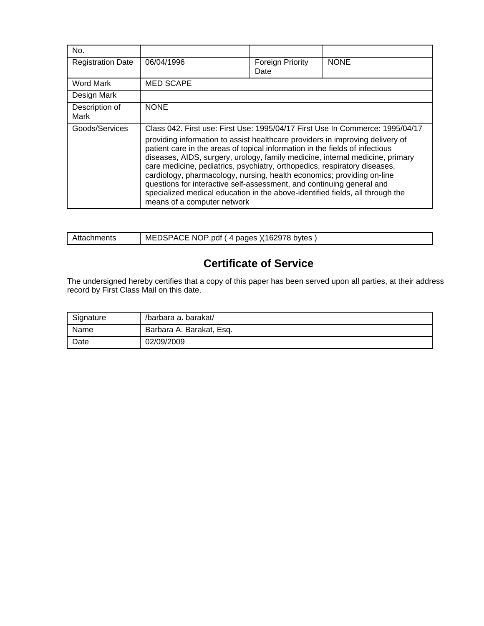| No.                      |                                                                                                                                                                                                                                                                                                                                                                                                                                                                                                                                                                                                                                                                                 |                          |             |
|--------------------------|---------------------------------------------------------------------------------------------------------------------------------------------------------------------------------------------------------------------------------------------------------------------------------------------------------------------------------------------------------------------------------------------------------------------------------------------------------------------------------------------------------------------------------------------------------------------------------------------------------------------------------------------------------------------------------|--------------------------|-------------|
| <b>Registration Date</b> | 06/04/1996                                                                                                                                                                                                                                                                                                                                                                                                                                                                                                                                                                                                                                                                      | Foreign Priority<br>Date | <b>NONE</b> |
| Word Mark                | <b>MED SCAPE</b>                                                                                                                                                                                                                                                                                                                                                                                                                                                                                                                                                                                                                                                                |                          |             |
| Design Mark              |                                                                                                                                                                                                                                                                                                                                                                                                                                                                                                                                                                                                                                                                                 |                          |             |
| Description of<br>Mark   | <b>NONE</b>                                                                                                                                                                                                                                                                                                                                                                                                                                                                                                                                                                                                                                                                     |                          |             |
| Goods/Services           | Class 042. First use: First Use: 1995/04/17 First Use In Commerce: 1995/04/17<br>providing information to assist healthcare providers in improving delivery of<br>patient care in the areas of topical information in the fields of infectious<br>diseases, AIDS, surgery, urology, family medicine, internal medicine, primary<br>care medicine, pediatrics, psychiatry, orthopedics, respiratory diseases,<br>cardiology, pharmacology, nursing, health economics; providing on-line<br>questions for interactive self-assessment, and continuing general and<br>specialized medical education in the above-identified fields, all through the<br>means of a computer network |                          |             |

| Attachments | MEDSPACE NOP.pdf (4 pages)(162978 bytes) |
|-------------|------------------------------------------|

# **Certificate of Service**

The undersigned hereby certifies that a copy of this paper has been served upon all parties, at their address record by First Class Mail on this date.

| Signature | /barbara a. barakat/     |
|-----------|--------------------------|
| Name      | Barbara A. Barakat, Esq. |
| Date      | 02/09/2009               |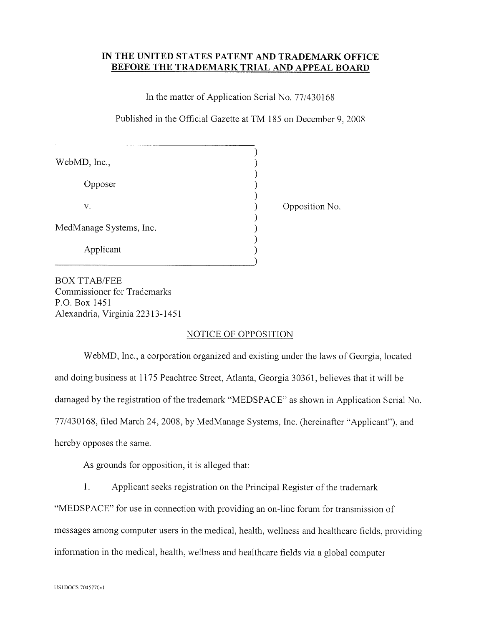#### IN THE UNITED STATES PATENT AND TRADEMARK OFFICE **BEFORE THE TRADEMARK TRIAL AND APPEAL BOARD**

In the matter of Application Serial No. 77/430168

Published in the Official Gazette at TM 185 on December 9, 2008

| WebMD, Inc.,            |  |
|-------------------------|--|
| Opposer                 |  |
| V.                      |  |
| MedManage Systems, Inc. |  |
| Applicant               |  |

Opposition No.

**BOX TTAB/FEE** Commissioner for Trademarks P.O. Box 1451 Alexandria, Virginia 22313-1451

#### NOTICE OF OPPOSITION

WebMD, Inc., a corporation organized and existing under the laws of Georgia, located and doing business at 1175 Peachtree Street, Atlanta, Georgia 30361, believes that it will be damaged by the registration of the trademark "MEDSPACE" as shown in Application Serial No. 77/430168, filed March 24, 2008, by MedManage Systems, Inc. (hereinafter "Applicant"), and hereby opposes the same.

As grounds for opposition, it is alleged that:

1. Applicant seeks registration on the Principal Register of the trademark

"MEDSPACE" for use in connection with providing an on-line forum for transmission of messages among computer users in the medical, health, wellness and healthcare fields, providing information in the medical, health, wellness and healthcare fields via a global computer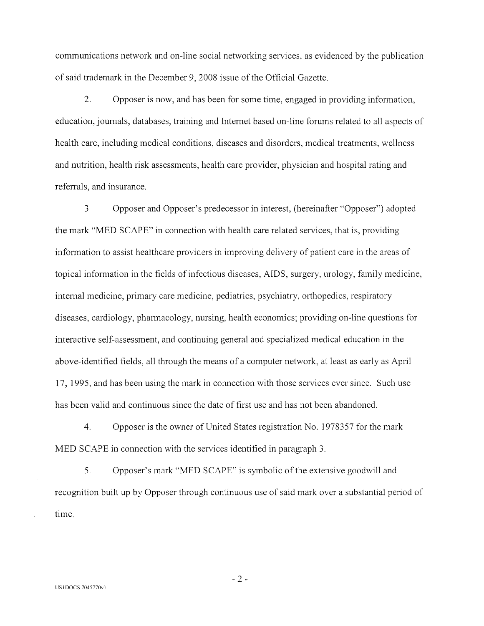communications network and on-line social networking services, as evidenced by the publication of said trademark in the December 9, 2008 issue of the Official Gazette.

 $2.$ Opposer is now, and has been for some time, engaged in providing information, education, journals, databases, training and Internet based on-line forums related to all aspects of health care, including medical conditions, diseases and disorders, medical treatments, wellness and nutrition, health risk assessments, health care provider, physician and hospital rating and referrals, and insurance.

 $\overline{3}$ Opposer and Opposer's predecessor in interest, (hereinafter "Opposer") adopted the mark "MED SCAPE" in connection with health care related services, that is, providing information to assist healthcare providers in improving delivery of patient care in the areas of topical information in the fields of infectious diseases, AIDS, surgery, urology, family medicine, internal medicine, primary care medicine, pediatrics, psychiatry, orthopedics, respiratory diseases, cardiology, pharmacology, nursing, health economics; providing on-line questions for interactive self-assessment, and continuing general and specialized medical education in the above-identified fields, all through the means of a computer network, at least as early as April 17, 1995, and has been using the mark in connection with those services ever since. Such use has been valid and continuous since the date of first use and has not been abandoned.

 $\overline{4}$ . Opposer is the owner of United States registration No. 1978357 for the mark MED SCAPE in connection with the services identified in paragraph 3.

5. Opposer's mark "MED SCAPE" is symbolic of the extensive goodwill and recognition built up by Opposer through continuous use of said mark over a substantial period of time.

 $-2-$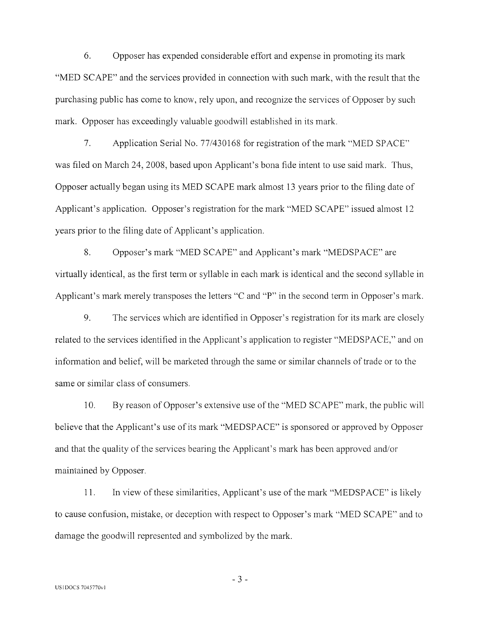6. Opposer has expended considerable effort and expense in promoting its mark "MED SCAPE" and the services provided in connection with such mark, with the result that the purchasing public has come to know, rely upon, and recognize the services of Opposer by such mark. Opposer has exceedingly valuable goodwill established in its mark.

 $7.$ Application Serial No. 77/430168 for registration of the mark "MED SPACE" was filed on March 24, 2008, based upon Applicant's bona fide intent to use said mark. Thus, Opposer actually began using its MED SCAPE mark almost 13 years prior to the filing date of Applicant's application. Opposer's registration for the mark "MED SCAPE" issued almost 12 years prior to the filing date of Applicant's application.

8. Opposer's mark "MED SCAPE" and Applicant's mark "MEDSPACE" are virtually identical, as the first term or syllable in each mark is identical and the second syllable in Applicant's mark merely transposes the letters "C and "P" in the second term in Opposer's mark.

9. The services which are identified in Opposer's registration for its mark are closely related to the services identified in the Applicant's application to register "MEDSPACE," and on information and belief, will be marketed through the same or similar channels of trade or to the same or similar class of consumers.

10. By reason of Opposer's extensive use of the "MED SCAPE" mark, the public will believe that the Applicant's use of its mark "MEDSPACE" is sponsored or approved by Opposer and that the quality of the services bearing the Applicant's mark has been approved and/or maintained by Opposer.

In view of these similarities, Applicant's use of the mark "MEDSPACE" is likely 11. to cause confusion, mistake, or deception with respect to Opposer's mark "MED SCAPE" and to damage the goodwill represented and symbolized by the mark.

 $-3-$